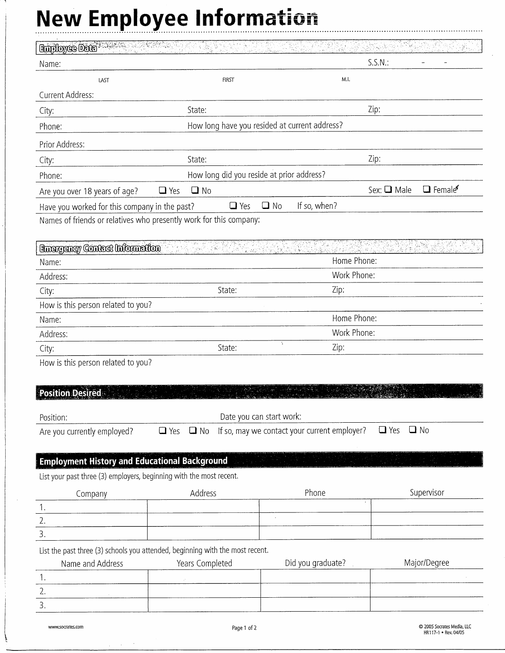## **New Employee Information**

| Employee Date                                                       |                                                                               | 1997 i 1903.<br>NGC 1910<br>ಾಲಿಕ              |                                                    |
|---------------------------------------------------------------------|-------------------------------------------------------------------------------|-----------------------------------------------|----------------------------------------------------|
| Name:                                                               |                                                                               |                                               | $S.S.N.$ :                                         |
| LAST                                                                | <b>FIRST</b>                                                                  | M.I.                                          |                                                    |
| Current Address:                                                    |                                                                               |                                               |                                                    |
| City:                                                               | State:                                                                        |                                               | Zip:                                               |
| Phone:                                                              |                                                                               | How long have you resided at current address? |                                                    |
| Prior Address:                                                      |                                                                               |                                               |                                                    |
| City:                                                               | State:                                                                        |                                               | Zip:                                               |
| Phone:                                                              | How long did you reside at prior address?                                     |                                               |                                                    |
| Are you over 18 years of age?                                       | $\Box$ No<br>$\Box$ Yes                                                       |                                               | Sex: Q Male<br>$\Box$ Female                       |
| Have you worked for this company in the past?                       | $\Box$ Yes                                                                    | $\square$ No<br>If so, when?                  |                                                    |
|                                                                     | Names of friends or relatives who presently work for this company:            |                                               |                                                    |
|                                                                     |                                                                               |                                               |                                                    |
| Emergency Contact Information                                       |                                                                               |                                               |                                                    |
| Name:                                                               |                                                                               | Home Phone:                                   |                                                    |
| Address:                                                            |                                                                               | Work Phone:                                   |                                                    |
| City:                                                               | State:                                                                        | Zip:                                          |                                                    |
| How is this person related to you?                                  |                                                                               |                                               |                                                    |
| Name:                                                               |                                                                               | Home Phone:                                   |                                                    |
| Address:                                                            |                                                                               | Work Phone:                                   |                                                    |
| City:                                                               | State:                                                                        | ÷.<br>Zip:                                    |                                                    |
| How is this person related to you?                                  |                                                                               |                                               |                                                    |
|                                                                     |                                                                               |                                               |                                                    |
| <b>Position Desired</b>                                             |                                                                               |                                               |                                                    |
| Position:                                                           | Date you can start work:                                                      |                                               |                                                    |
| Are you currently employed?                                         | $\Box$ Yes<br>$\square$ No                                                    | If so, may we contact your current employer?  | $\Box$ Yes<br>$\Box$ No                            |
|                                                                     |                                                                               |                                               |                                                    |
| <b>Employment History and Educational Background</b>                |                                                                               |                                               |                                                    |
| List your past three (3) employers, beginning with the most recent. |                                                                               |                                               |                                                    |
|                                                                     | Address                                                                       | Phone                                         | Supervisor                                         |
| Company<br>1.                                                       |                                                                               |                                               |                                                    |
| 2.                                                                  |                                                                               |                                               |                                                    |
| 3.                                                                  |                                                                               |                                               |                                                    |
|                                                                     | List the past three (3) schools you attended, beginning with the most recent. |                                               |                                                    |
| Name and Address                                                    | Years Completed                                                               | Did you graduate?                             | Major/Degree                                       |
| 1.                                                                  | $\mathcal{L}$                                                                 |                                               |                                                    |
| 2.                                                                  |                                                                               |                                               |                                                    |
| 3.                                                                  |                                                                               |                                               |                                                    |
| www.socrates.com                                                    | Page 1 of 2                                                                   |                                               | C 2005 Socrates Media, LLC<br>HR117-1 . Rev. 04/05 |